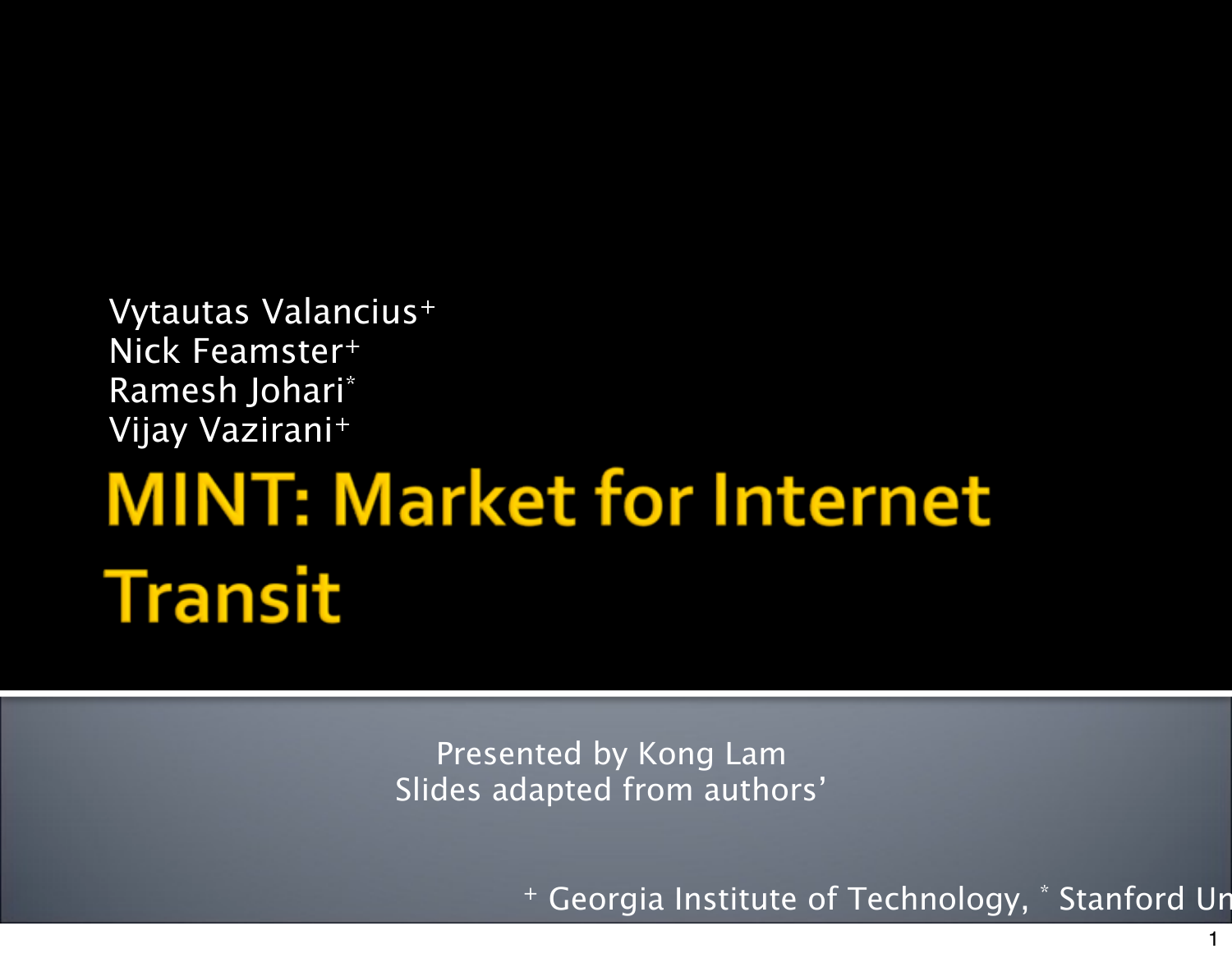Vytautas Valancius+ Nick Feamster+ Ramesh Johari\* Vijay Vazirani+

## **MINT: Market for Internet Transit**

Presented by Kong Lam Slides adapted from authors'

+ Georgia Institute of Technology, \* Stanford Un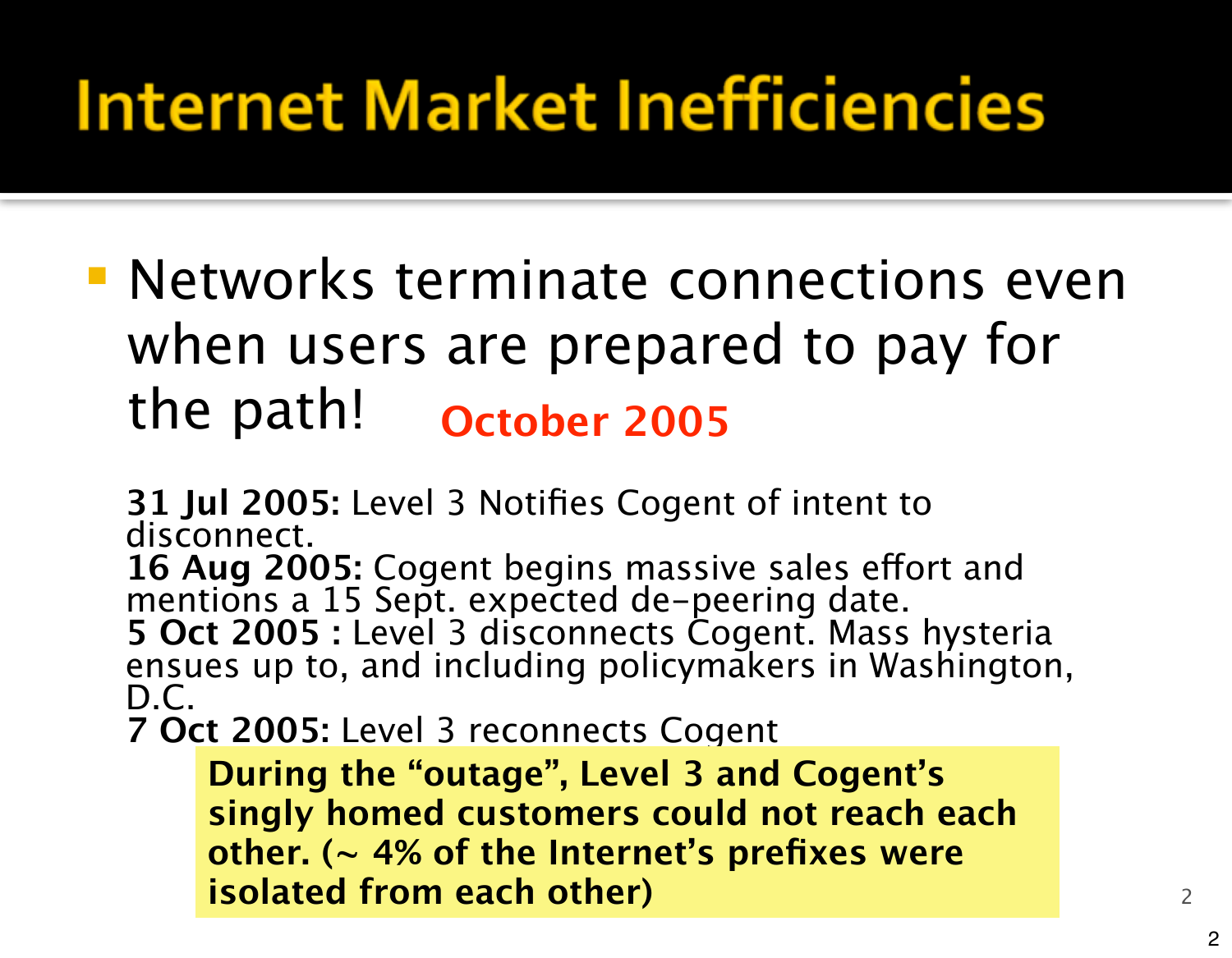#### **Internet Market Inefficiencies**

**Networks terminate connections even** when users are prepared to pay for the path! **October 2005**

**31 Jul 2005:** Level 3 Notifies Cogent of intent to disconnect.

16 Aug 2005: Cogent begins massive sales effort and mentions a 15 Sept. expected de-peering date. **5 Oct 2005 :** Level 3 disconnects Cogent. Mass hysteria<br>ensues up to, and including policymakers in Washington, D.C.

**7 Oct 2005:** Level 3 reconnects Cogent

**During the "outage", Level 3 and Cogent's singly homed customers could not reach each other. (~ 4% of the Internet's prefixes were isolated from each other)** <sup>2</sup>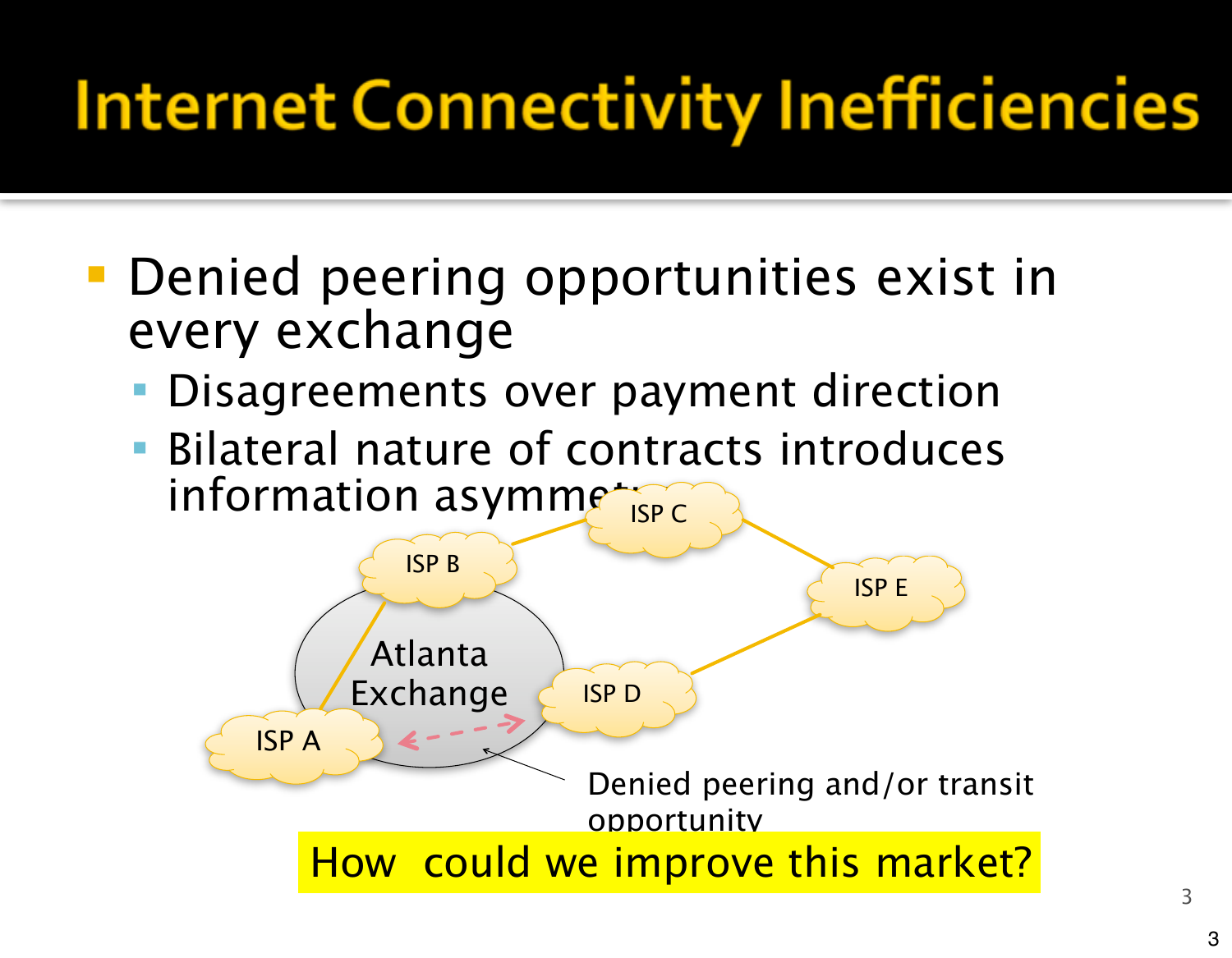#### **Internet Connectivity Inefficiencies**

- **Denied peering opportunities exist in** every exchange
	- Disagreements over payment direction
	- Bilateral nature of contracts introduces information asymmetry

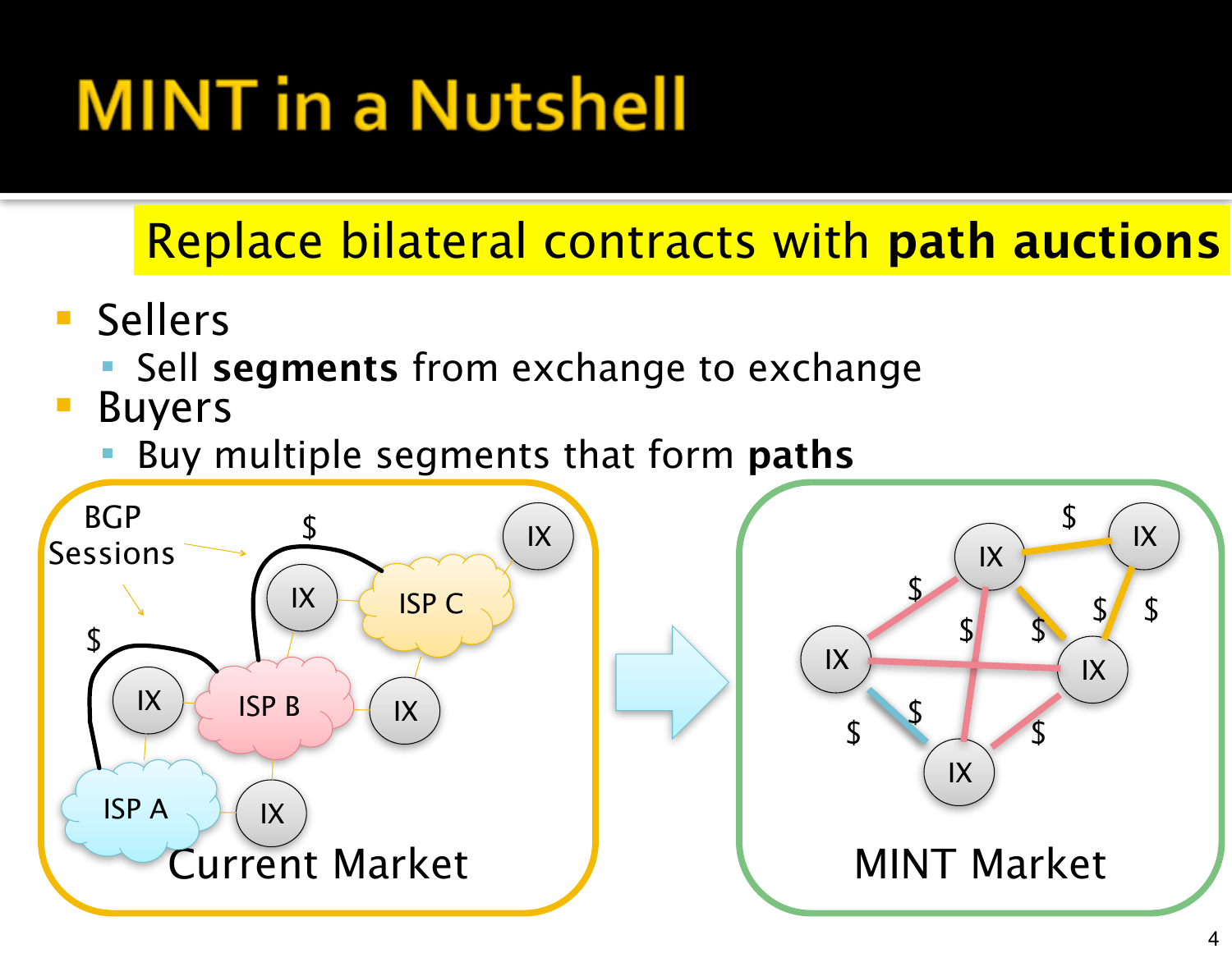## **MINT** in a Nutshell

#### Replace bilateral contracts with **path auctions**

- Sellers
	- Sell **segments** from exchange to exchange
- Buyers
	- Buy multiple segments that form **paths**

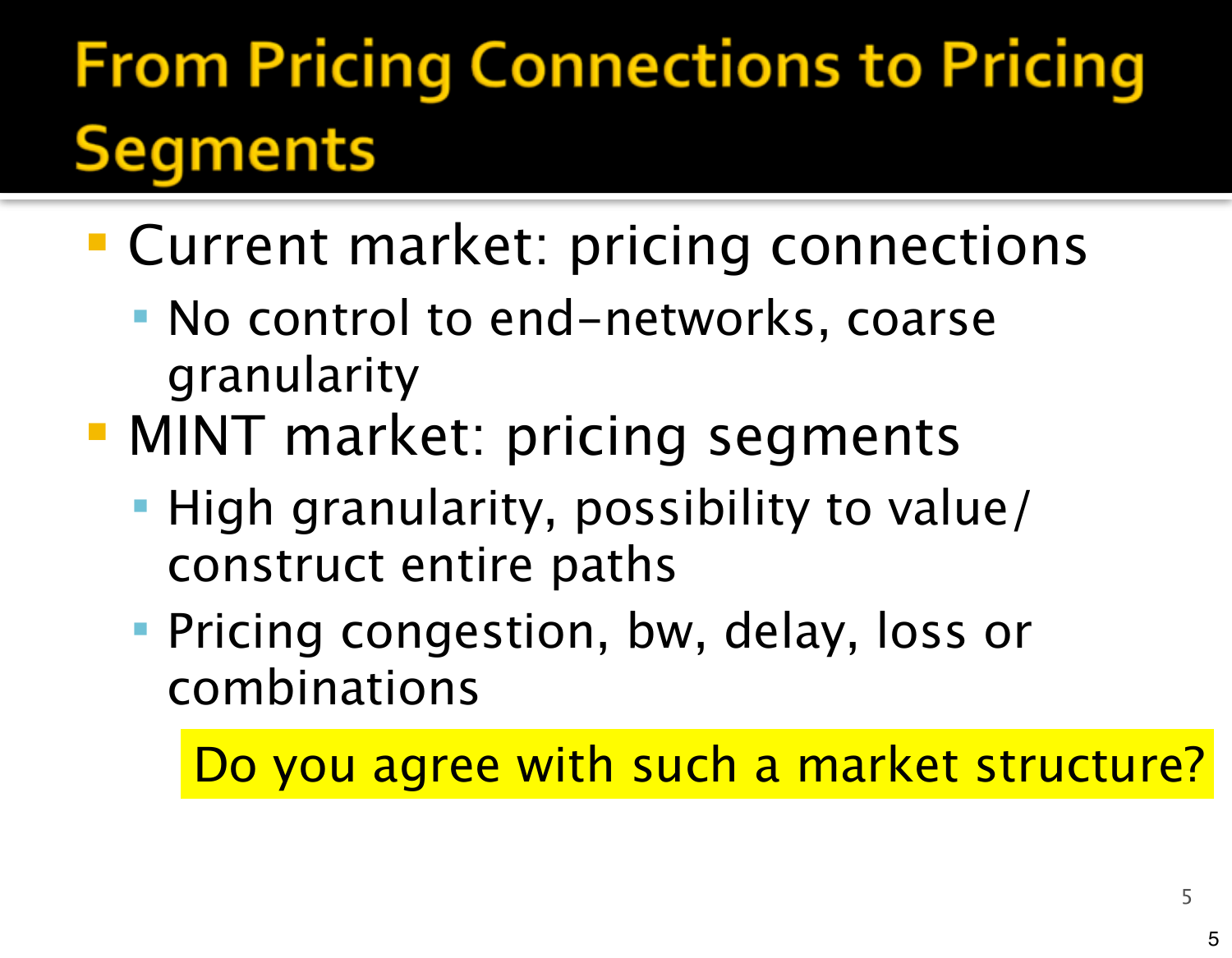#### **From Pricing Connections to Pricing Segments**

- **Current market: pricing connections** 
	- No control to end-networks, coarse granularity
- **MINT market: pricing segments** 
	- High granularity, possibility to value/ construct entire paths
	- **Pricing congestion, bw, delay, loss or** combinations

Do you agree with such a market structure?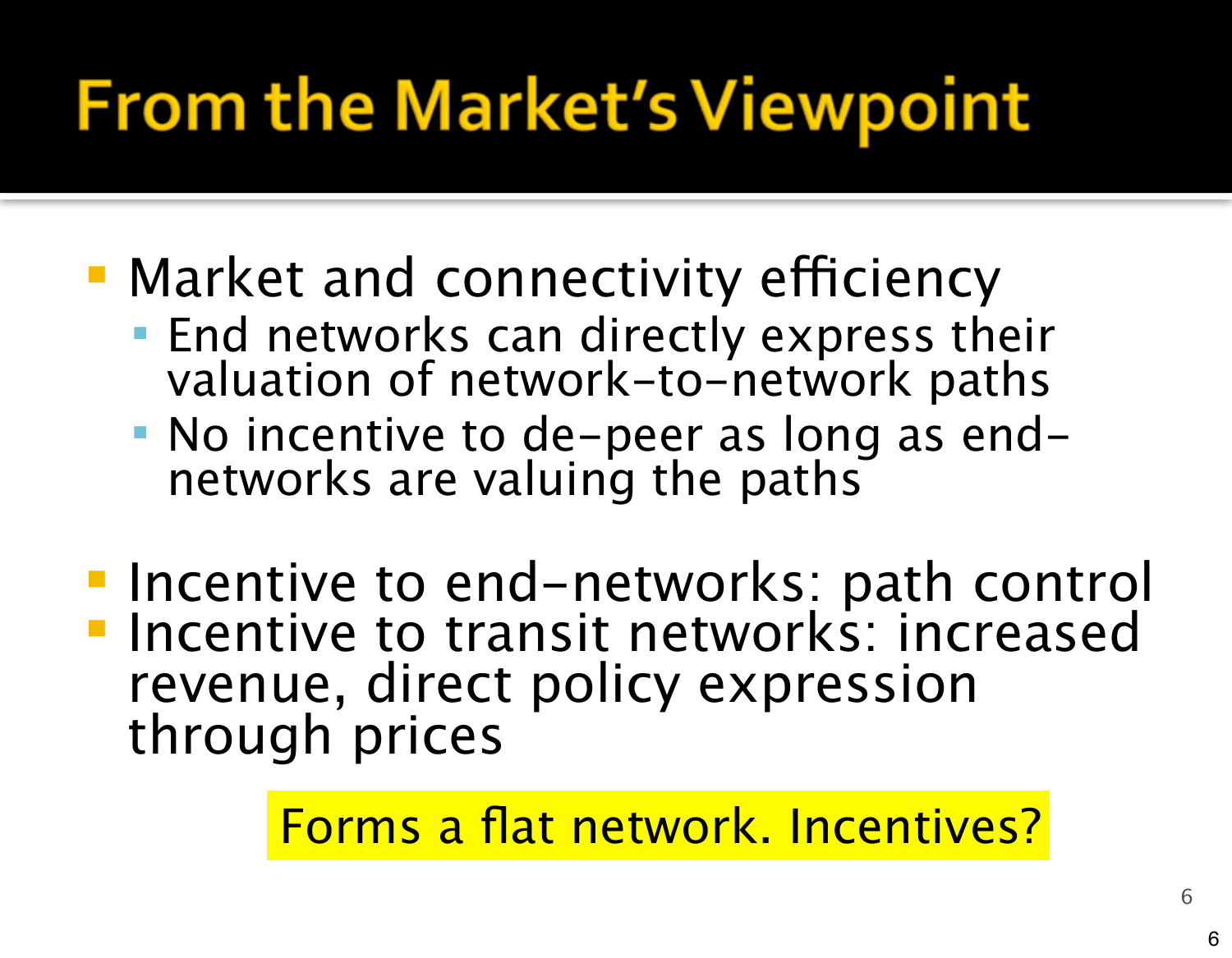## **From the Market's Viewpoint**

- Market and connectivity efficiency
	- **End networks can directly express their** valuation of network-to-network paths
	- No incentive to de-peer as long as endnetworks are valuing the paths
- **Incentive to end-networks: path control Incentive to transit networks: increased** revenue, direct policy expression through prices

Forms a flat network. Incentives?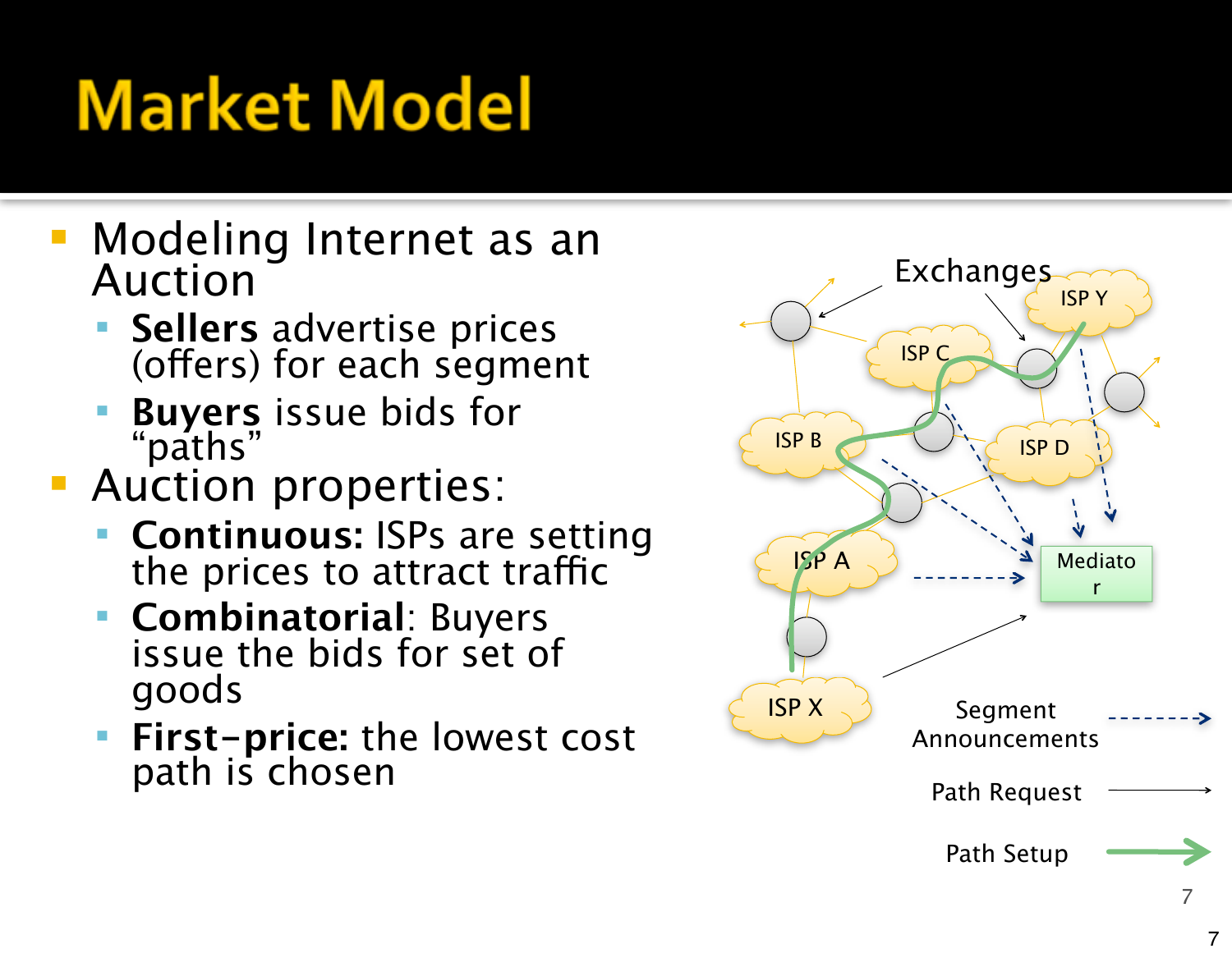## **Market Model**

- Modeling Internet as an Auction
	- **Sellers** advertise prices<br>(offers) for each segment
	- **Buyers** issue bids for "paths"
- **Auction properties:** 
	- **Continuous: ISPs are setting the prices to attract traffic**
	- **Combinatorial**: Buyers issue the bids for set of goods
	- **First-price:** the lowest cost path is chosen

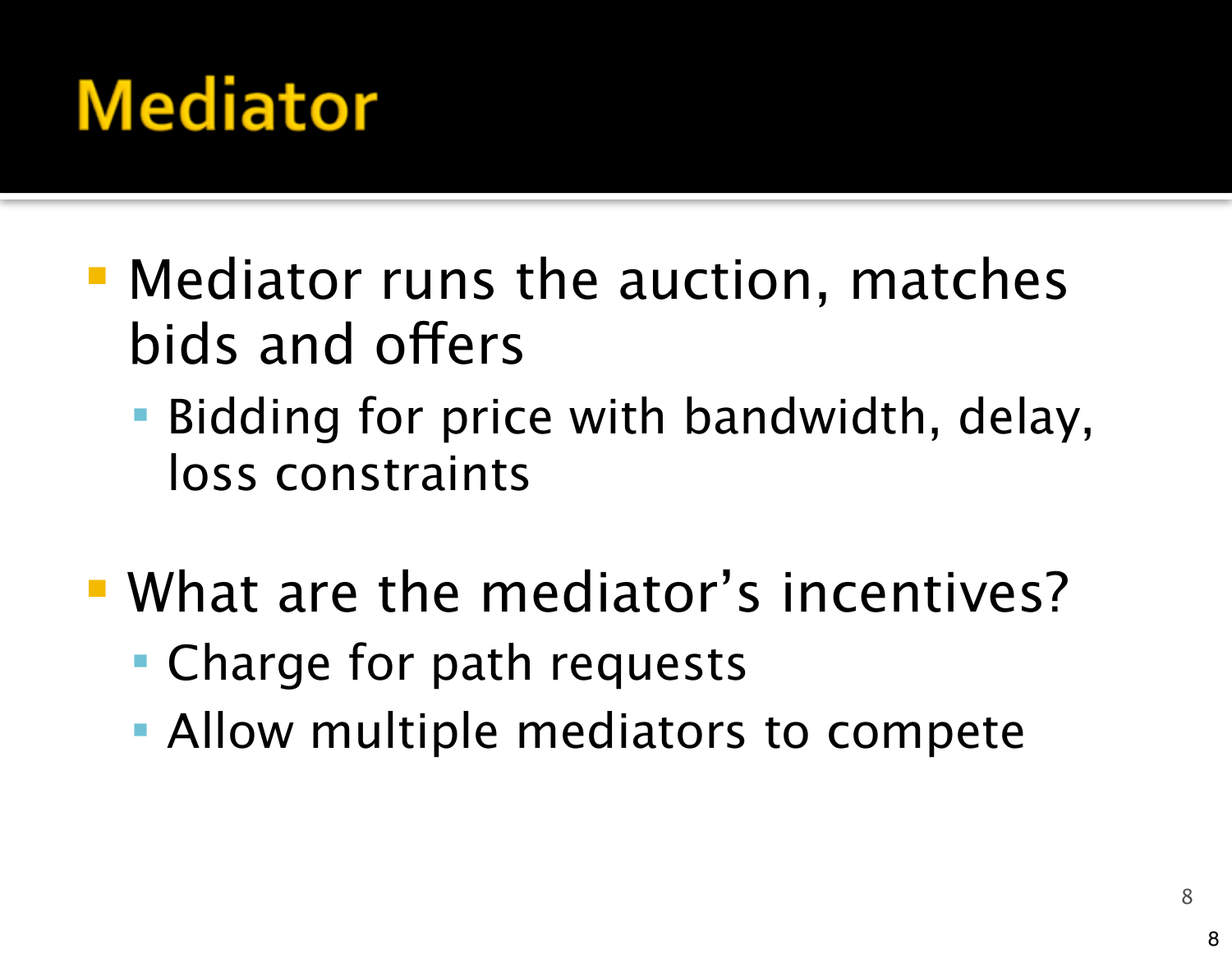#### **Mediator**

- Mediator runs the auction, matches bids and offers
	- Bidding for price with bandwidth, delay, loss constraints
- What are the mediator's incentives?
	- Charge for path requests
	- **Allow multiple mediators to compete**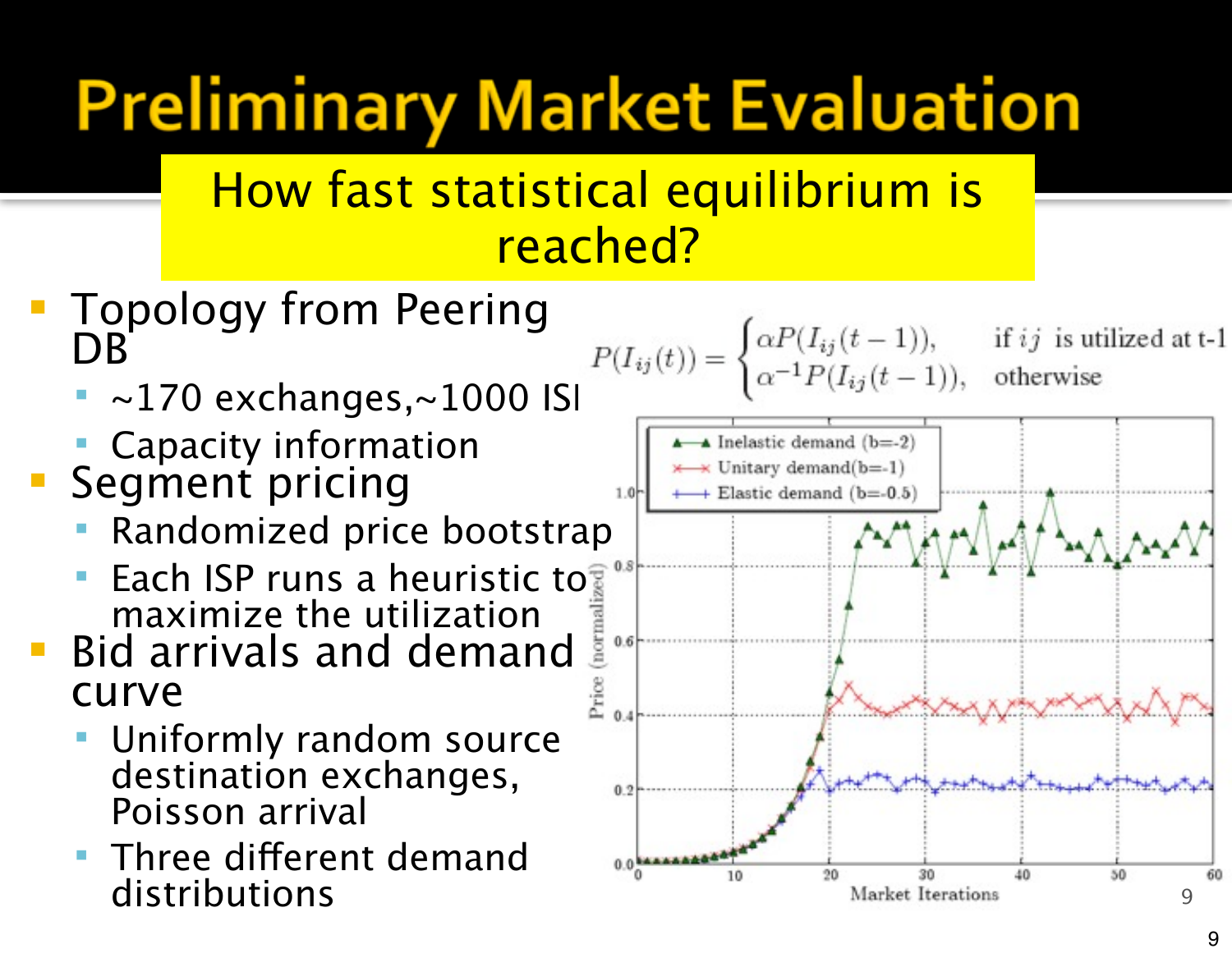# **Preliminary Market Evaluation**

#### How fast statistical equilibrium is reached?

- Topology from Peering DB
	-
	- Capacity information
- Segment pricing
	- Randomized price bootstrap
	- **Each ISP runs a heuristic to** maximize the utilization
- **Bid arrivals and demand.** curve
	- Uniformly random source destination exchanges, Poisson arrival
	- Three different demand distributions

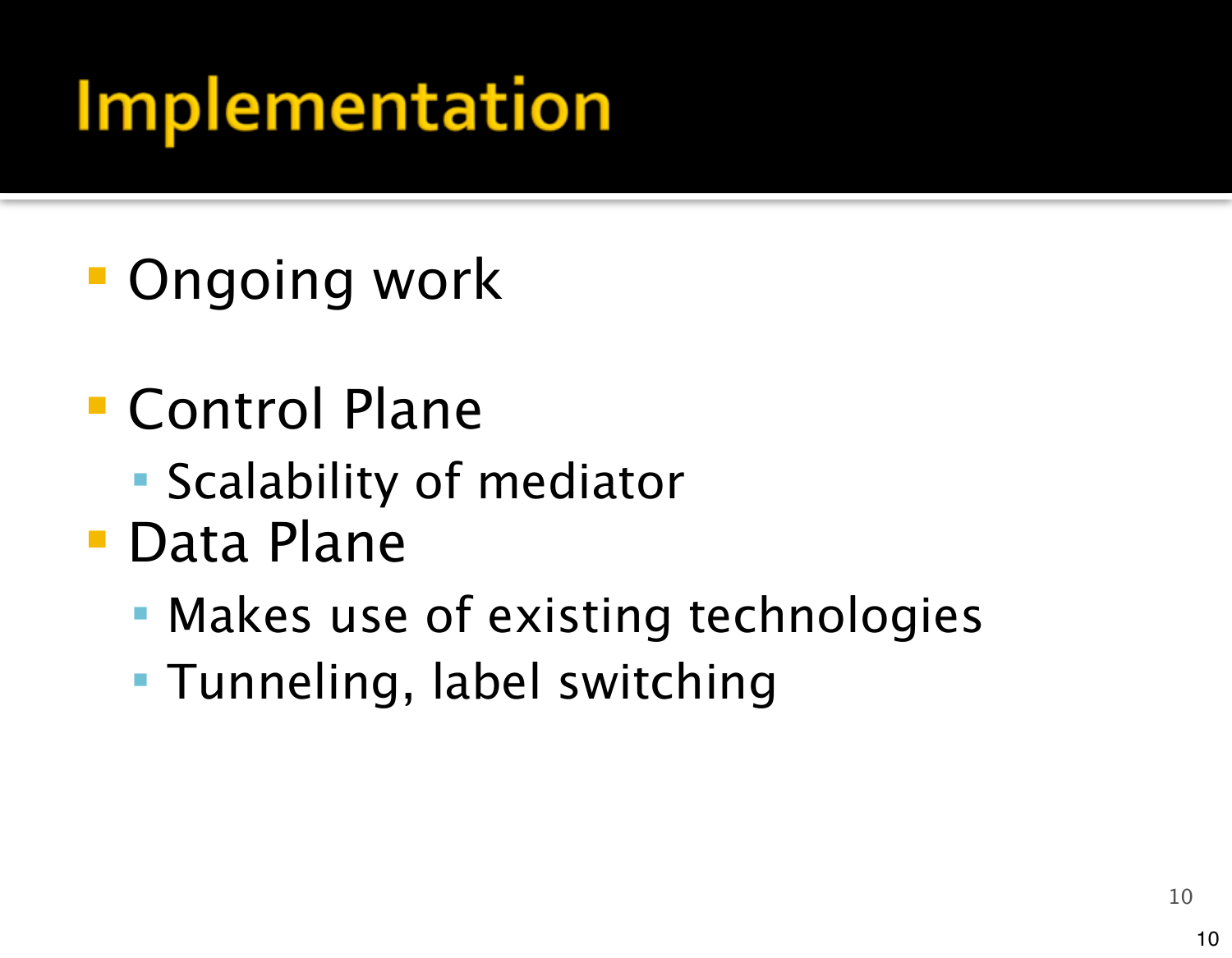## **Implementation**

- **Ongoing work**
- Control Plane
	- **Scalability of mediator**
- Data Plane
	- **Makes use of existing technologies**
	- Tunneling, label switching